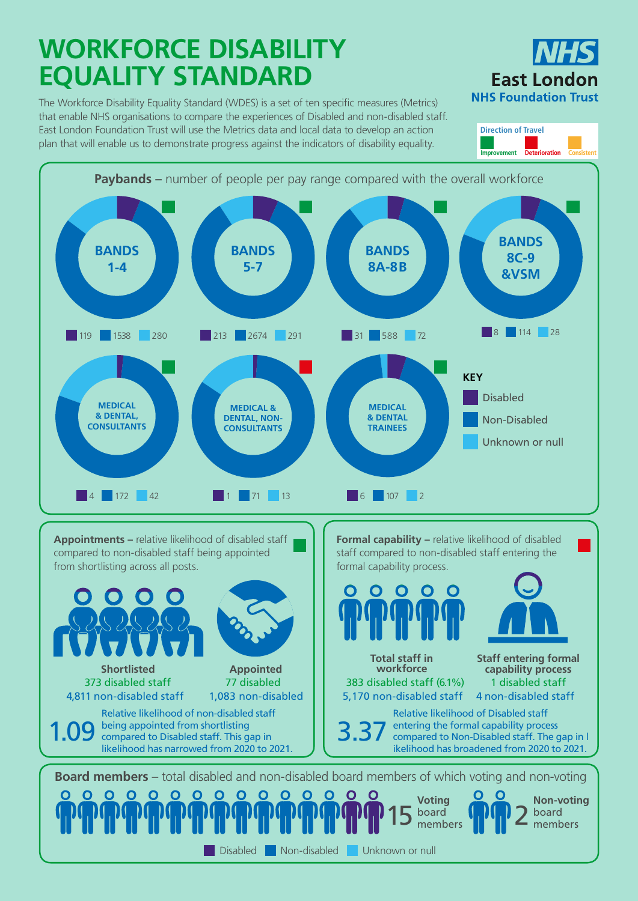## **WORKFORCE DISABILITY EQUALITY STANDARD**

**Board members** – total disabled and non-disabled board members of which voting and non-voting  $O$   $O$ 0 0 0 0 0 0 0 0 0 0 0 0  $\mathbf O$ **O Voting Non-voting**  $15 \frac{\text{board}}{\text{members}}$   $100$   $2 \frac{\text{board}}{\text{members}}$ board members Disabled Non-disabled Unknown or null

**Appointments –** relative likelihood of disabled staff compared to non-disabled staff being appointed from shortlisting across all posts.

**Formal capability – relative likelihood of disabled** staff compared to non-disabled staff entering the formal capability process.



Relative likelihood of non-disabled staff being appointed from shortlisting 1.09 being appointed from shortlisting<br>  $\frac{1}{2}$  3.37 likelihood has narrowed from 2020 to 2021.

Relative likelihood of Disabled staff entering the formal capability process compared to Non-Disabled staff. The gap in l ikelihood has broadened from 2020 to 2021.



The Workforce Disability Equality Standard (WDES) is a set of ten specific measures (Metrics) that enable NHS organisations to compare the experiences of Disabled and non-disabled staff. East London Foundation Trust will use the Metrics data and local data to develop an action plan that will enable us to demonstrate progress against the indicators of disability equality.







373 disabled staff 4,811 non-disabled staff

**Total staff in workforce** 383 disabled staff (6.1%) 1 disabled staff 5,170 non-disabled staff 4 non-disabled staff **capability process**



**Staff entering formal** 

**Appointed**

## 77 disabled 1,083 non-disabled

**Direction of Travel Improvement Deterioration Consistent**